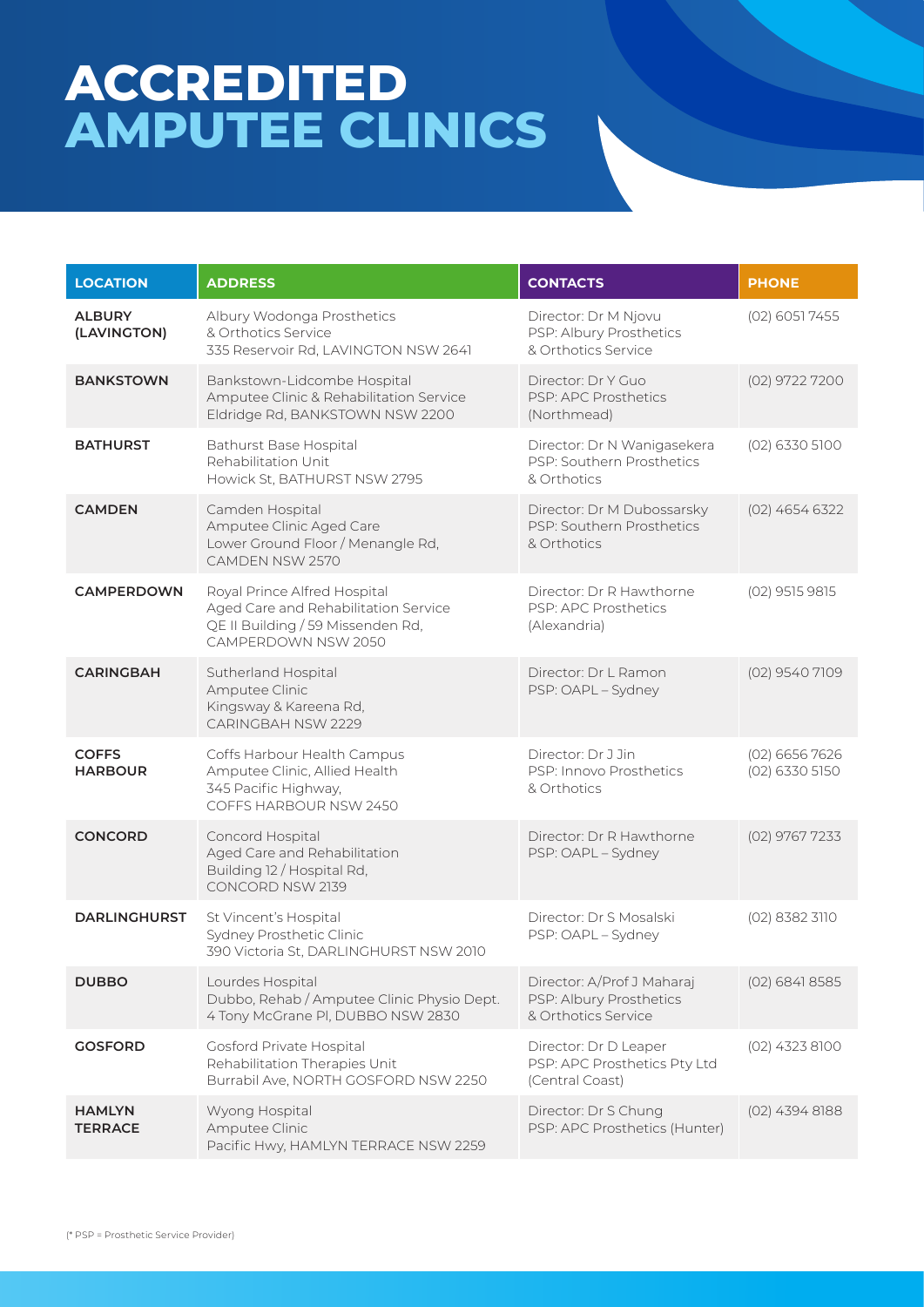## **ACCREDITED AMPUTEE CLINICS**

| <b>LOCATION</b>                 | <b>ADDRESS</b>                                                                                                                   | <b>CONTACTS</b>                                                              | <b>PHONE</b>                       |
|---------------------------------|----------------------------------------------------------------------------------------------------------------------------------|------------------------------------------------------------------------------|------------------------------------|
| <b>ALBURY</b><br>(LAVINGTON)    | Albury Wodonga Prosthetics<br>& Orthotics Service<br>335 Reservoir Rd, LAVINGTON NSW 2641                                        | Director: Dr M Njovu<br>PSP: Albury Prosthetics<br>& Orthotics Service       | (02) 6051 7455                     |
| <b>BANKSTOWN</b>                | Bankstown-Lidcombe Hospital<br>Amputee Clinic & Rehabilitation Service<br>Eldridge Rd, BANKSTOWN NSW 2200                        | Director: Dr Y Guo<br>PSP: APC Prosthetics<br>(Northmead)                    | (02) 9722 7200                     |
| <b>BATHURST</b>                 | <b>Bathurst Base Hospital</b><br>Rehabilitation Unit<br>Howick St, BATHURST NSW 2795                                             | Director: Dr N Wanigasekera<br>PSP: Southern Prosthetics<br>& Orthotics      | (02) 6330 5100                     |
| <b>CAMDEN</b>                   | Camden Hospital<br>Amputee Clinic Aged Care<br>Lower Ground Floor / Menangle Rd,<br>CAMDEN NSW 2570                              | Director: Dr M Dubossarsky<br>PSP: Southern Prosthetics<br>& Orthotics       | $(02)$ 4654 6322                   |
| <b>CAMPERDOWN</b>               | Royal Prince Alfred Hospital<br>Aged Care and Rehabilitation Service<br>QE II Building / 59 Missenden Rd,<br>CAMPERDOWN NSW 2050 | Director: Dr R Hawthorne<br>PSP: APC Prosthetics<br>(Alexandria)             | (02) 9515 9815                     |
| <b>CARINGBAH</b>                | Sutherland Hospital<br>Amputee Clinic<br>Kingsway & Kareena Rd,<br>CARINGBAH NSW 2229                                            | Director: Dr L Ramon<br>PSP: OAPL - Sydney                                   | (02) 9540 7109                     |
| <b>COFFS</b><br><b>HARBOUR</b>  | Coffs Harbour Health Campus<br>Amputee Clinic, Allied Health<br>345 Pacific Highway,<br>COFFS HARBOUR NSW 2450                   | Director: Dr J Jin<br>PSP: Innovo Prosthetics<br>& Orthotics                 | $(02)$ 6656 7626<br>(02) 6330 5150 |
| <b>CONCORD</b>                  | Concord Hospital<br>Aged Care and Rehabilitation<br>Building 12 / Hospital Rd,<br>CONCORD NSW 2139                               | Director: Dr R Hawthorne<br>PSP: OAPL - Sydney                               | (02) 9767 7233                     |
| <b>DARLINGHURST</b>             | St Vincent's Hospital<br>Sydney Prosthetic Clinic<br>390 Victoria St, DARLINGHURST NSW 2010                                      | Director: Dr S Mosalski<br>PSP: OAPL - Sydney                                | (02) 8382 3110                     |
| <b>DUBBO</b>                    | Lourdes Hospital<br>Dubbo, Rehab / Amputee Clinic Physio Dept.<br>4 Tony McGrane Pl, DUBBO NSW 2830                              | Director: A/Prof J Maharaj<br>PSP: Albury Prosthetics<br>& Orthotics Service | $(02)$ 6841 8585                   |
| <b>GOSFORD</b>                  | Gosford Private Hospital<br>Rehabilitation Therapies Unit<br>Burrabil Ave, NORTH GOSFORD NSW 2250                                | Director: Dr D Leaper<br>PSP: APC Prosthetics Pty Ltd<br>(Central Coast)     | (02) 4323 8100                     |
| <b>HAMLYN</b><br><b>TERRACE</b> | Wyong Hospital<br>Amputee Clinic<br>Pacific Hwy, HAMLYN TERRACE NSW 2259                                                         | Director: Dr S Chung<br>PSP: APC Prosthetics (Hunter)                        | $(02)$ 4394 8188                   |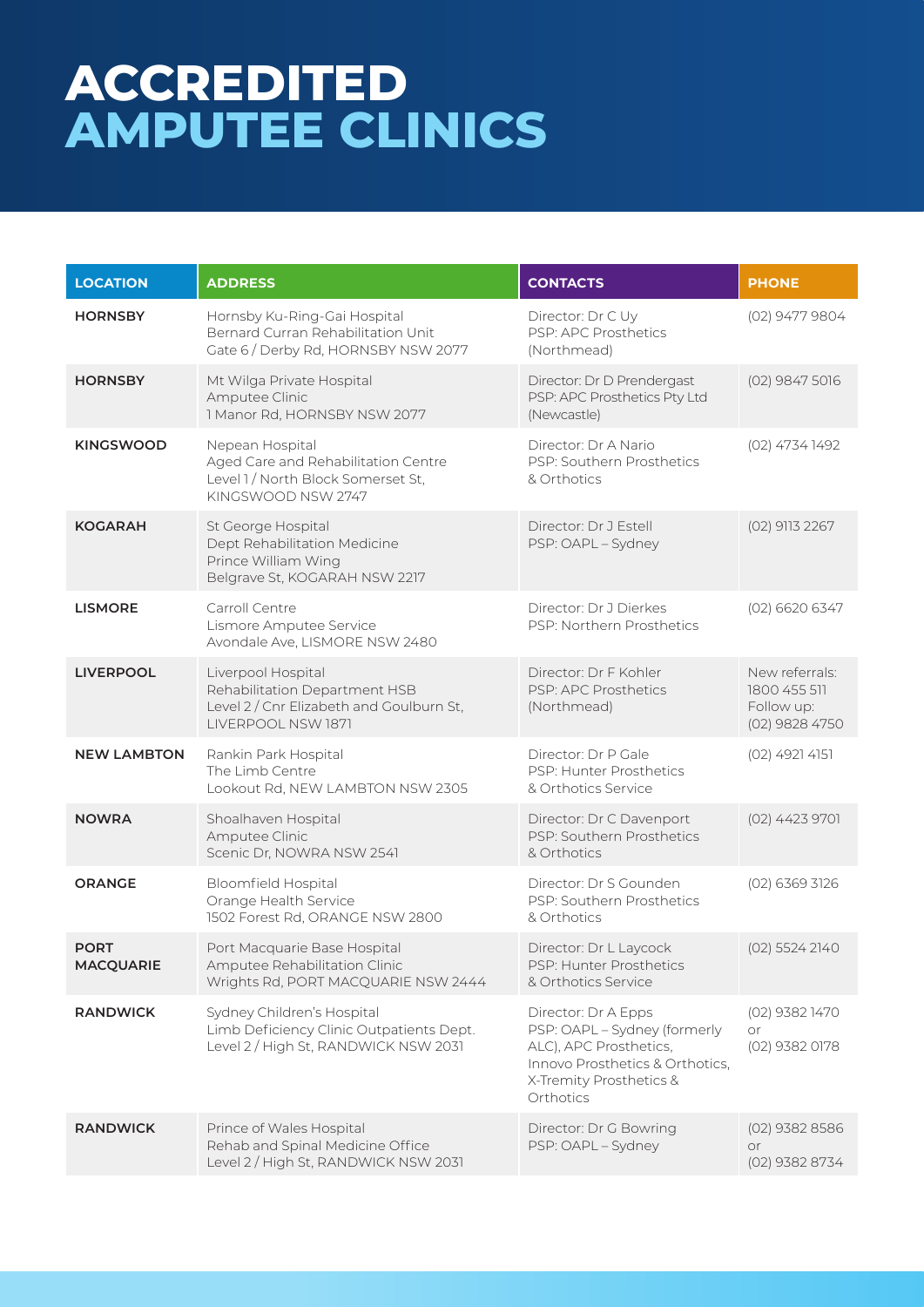## **ACCREDITED AMPUTEE CLINICS**

| <b>LOCATION</b>                 | <b>ADDRESS</b>                                                                                                        | <b>CONTACTS</b>                                                                                                                                          | <b>PHONE</b>                                                   |
|---------------------------------|-----------------------------------------------------------------------------------------------------------------------|----------------------------------------------------------------------------------------------------------------------------------------------------------|----------------------------------------------------------------|
| <b>HORNSBY</b>                  | Hornsby Ku-Ring-Gai Hospital<br>Bernard Curran Rehabilitation Unit<br>Gate 6 / Derby Rd, HORNSBY NSW 2077             | Director: Dr C Uy<br>PSP: APC Prosthetics<br>(Northmead)                                                                                                 | (02) 9477 9804                                                 |
| <b>HORNSBY</b>                  | Mt Wilga Private Hospital<br>Amputee Clinic<br>1 Manor Rd, HORNSBY NSW 2077                                           | Director: Dr D Prendergast<br>PSP: APC Prosthetics Pty Ltd<br>(Newcastle)                                                                                | (02) 9847 5016                                                 |
| <b>KINGSWOOD</b>                | Nepean Hospital<br>Aged Care and Rehabilitation Centre<br>Level 1 / North Block Somerset St,<br>KINGSWOOD NSW 2747    | Director: Dr A Nario<br>PSP: Southern Prosthetics<br>& Orthotics                                                                                         | (02) 4734 1492                                                 |
| <b>KOGARAH</b>                  | St George Hospital<br>Dept Rehabilitation Medicine<br>Prince William Wing<br>Belgrave St, KOGARAH NSW 2217            | Director: Dr J Estell<br>PSP: OAPL - Sydney                                                                                                              | (02) 9113 2267                                                 |
| <b>LISMORE</b>                  | Carroll Centre<br>Lismore Amputee Service<br>Avondale Ave, LISMORE NSW 2480                                           | Director: Dr J Dierkes<br>PSP: Northern Prosthetics                                                                                                      | $(02)$ 6620 6347                                               |
| <b>LIVERPOOL</b>                | Liverpool Hospital<br>Rehabilitation Department HSB<br>Level 2 / Cnr Elizabeth and Goulburn St,<br>LIVERPOOL NSW 1871 | Director: Dr F Kohler<br>PSP: APC Prosthetics<br>(Northmead)                                                                                             | New referrals:<br>1800 455 511<br>Follow up:<br>(02) 9828 4750 |
| <b>NEW LAMBTON</b>              | Rankin Park Hospital<br>The Limb Centre<br>Lookout Rd, NEW LAMBTON NSW 2305                                           | Director: Dr P Gale<br>PSP: Hunter Prosthetics<br>& Orthotics Service                                                                                    | $(02)$ 4921 4151                                               |
| <b>NOWRA</b>                    | Shoalhaven Hospital<br>Amputee Clinic<br>Scenic Dr, NOWRA NSW 2541                                                    | Director: Dr C Davenport<br>PSP: Southern Prosthetics<br>& Orthotics                                                                                     | (02) 4423 9701                                                 |
| <b>ORANGE</b>                   | <b>Bloomfield Hospital</b><br>Orange Health Service<br>1502 Forest Rd, ORANGE NSW 2800                                | Director: Dr S Gounden<br>PSP: Southern Prosthetics<br>& Orthotics                                                                                       | (02) 6369 3126                                                 |
| <b>PORT</b><br><b>MACQUARIE</b> | Port Macquarie Base Hospital<br>Amputee Rehabilitation Clinic<br>Wrights Rd, PORT MACQUARIE NSW 2444                  | Director: Dr L Laycock<br>PSP: Hunter Prosthetics<br>& Orthotics Service                                                                                 | (02) 5524 2140                                                 |
| <b>RANDWICK</b>                 | Sydney Children's Hospital<br>Limb Deficiency Clinic Outpatients Dept.<br>Level 2 / High St, RANDWICK NSW 2031        | Director: Dr A Epps<br>PSP: OAPL - Sydney (formerly<br>ALC), APC Prosthetics,<br>Innovo Prosthetics & Orthotics,<br>X-Tremity Prosthetics &<br>Orthotics | (02) 9382 1470<br>or<br>(02) 9382 0178                         |
| <b>RANDWICK</b>                 | Prince of Wales Hospital<br>Rehab and Spinal Medicine Office<br>Level 2 / High St, RANDWICK NSW 2031                  | Director: Dr G Bowring<br>PSP: OAPL - Sydney                                                                                                             | $(02)$ 9382 8586<br>or<br>(02) 9382 8734                       |